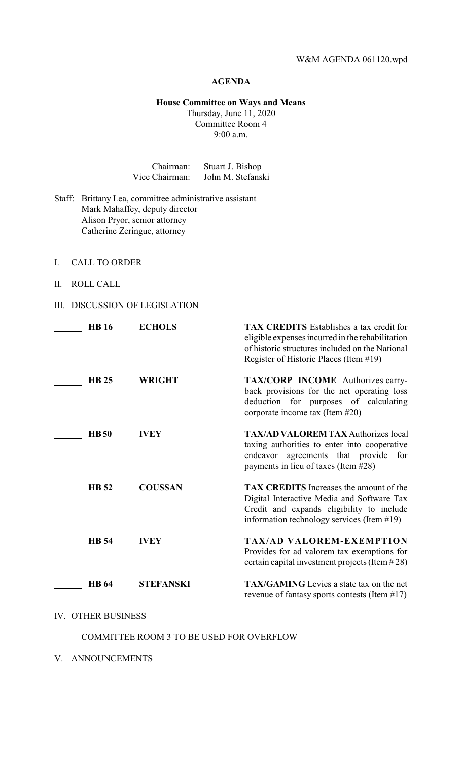## **AGENDA**

### **House Committee on Ways and Means** Thursday, June 11, 2020

Committee Room 4 9:00 a.m.

| Chairman:      | Stuart J. Bishop  |
|----------------|-------------------|
| Vice Chairman: | John M. Stefanski |

- Staff: Brittany Lea, committee administrative assistant Mark Mahaffey, deputy director Alison Pryor, senior attorney Catherine Zeringue, attorney
- I. CALL TO ORDER
- II. ROLL CALL
- III. DISCUSSION OF LEGISLATION

| <b>HB</b> 16 | <b>ECHOLS</b>    | <b>TAX CREDITS</b> Establishes a tax credit for<br>eligible expenses incurred in the rehabilitation<br>of historic structures included on the National<br>Register of Historic Places (Item #19) |
|--------------|------------------|--------------------------------------------------------------------------------------------------------------------------------------------------------------------------------------------------|
| <b>HB 25</b> | <b>WRIGHT</b>    | <b>TAX/CORP INCOME</b> Authorizes carry-<br>back provisions for the net operating loss<br>deduction for purposes of calculating<br>corporate income tax (Item #20)                               |
| <b>HB50</b>  | <b>IVEY</b>      | <b>TAX/AD VALOREM TAX Authorizes local</b><br>taxing authorities to enter into cooperative<br>endeavor agreements that provide for<br>payments in lieu of taxes (Item #28)                       |
| <b>HB</b> 52 | <b>COUSSAN</b>   | <b>TAX CREDITS</b> Increases the amount of the<br>Digital Interactive Media and Software Tax<br>Credit and expands eligibility to include<br>information technology services (Item #19)          |
| <b>HB</b> 54 | <b>IVEY</b>      | <b>TAX/AD VALOREM-EXEMPTION</b><br>Provides for ad valorem tax exemptions for<br>certain capital investment projects (Item $#28$ )                                                               |
| <b>HB</b> 64 | <b>STEFANSKI</b> | <b>TAX/GAMING</b> Levies a state tax on the net<br>revenue of fantasy sports contests (Item $#17$ )                                                                                              |

# IV. OTHER BUSINESS

### COMMITTEE ROOM 3 TO BE USED FOR OVERFLOW

V. ANNOUNCEMENTS